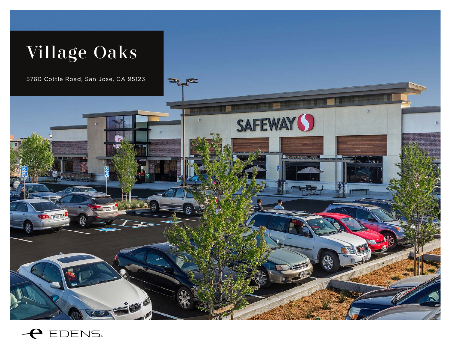



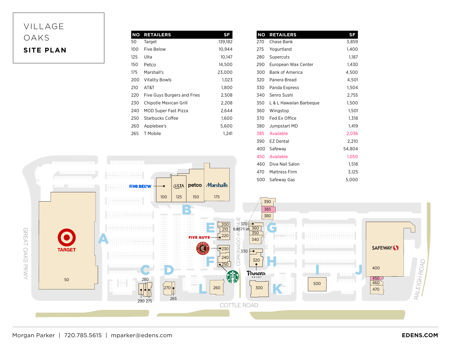## VILLAGE OAKS **SITE PLAN**

| <b>NO</b> | <b>RETAILERS</b>            | <b>SF</b> |
|-----------|-----------------------------|-----------|
| 50        | Target                      | 139,182   |
| 100       | Five Below                  | 10,944    |
| 125       | Ulta                        | 10.147    |
| 150       | Petco                       | 14,500    |
| 175       | Marshall's                  | 23,000    |
| 200       | <b>Vitality Bowls</b>       | 1.023     |
| 210       | AT&T                        | 1,800     |
| 220       | Five Guys Burgers and Fries | 2,508     |
| 230       | Chipotle Mexican Grill      | 2,208     |
| 240       | MOD Super Fast Pizza        | 2,644     |
| 250       | Starbucks Coffee            | 1,600     |
| 260       | Applebee's                  | 5,600     |
| 265       | T Mobile                    | 1,241     |
|           |                             |           |

| <b>NO</b> | <b>RETAILERS</b>        | SF     |
|-----------|-------------------------|--------|
| 270       | Chase Bank              | 3,859  |
| 275       | Yogurtland              | 1,400  |
| 280       | Supercuts               | 1,187  |
| 290       | European Wax Center     | 1,430  |
| 300       | <b>Bank of America</b>  | 4,500  |
| 320       | Panera Bread            | 4,501  |
| 330       | Panda Express           | 1,504  |
| 340       | Senro Sushi             | 2,755  |
| 350       | L & L Hawaiian Barbeque | 1,500  |
| 360       | Wingstop                | 1,501  |
| 370       | Fed Ex Office           | 1,318  |
| 380       | Jumpstart MD            | 1,419  |
| 385       | Available               | 2,036  |
| 390       | <b>EZ Dental</b>        | 2,210  |
| 400       | Safeway                 | 54,804 |
| 450       | Available               | 1,050  |
| 460       | Diva Nail Salon         | 1,518  |
| 470       | Mattress Firm           | 3,125  |
| 500       | Safewav Gas             | 5.000  |

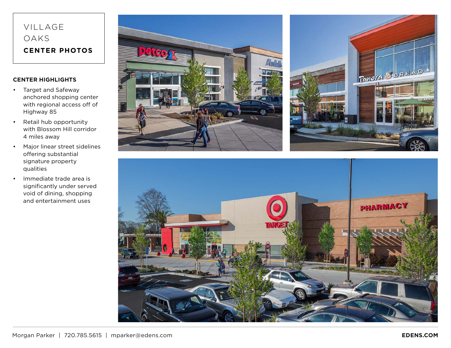## VILLAGE OAKS **CENTER PHOTOS**

## **CENTER HIGHLIGHTS**

- Target and Safeway anchored shopping center with regional access off of Highway 85
- Retail hub opportunity with Blossom Hill corridor 4 miles away
- Major linear street sidelines offering substantial signature property qualities
- Immediate trade area is significantly under served void of dining, shopping and entertainment uses